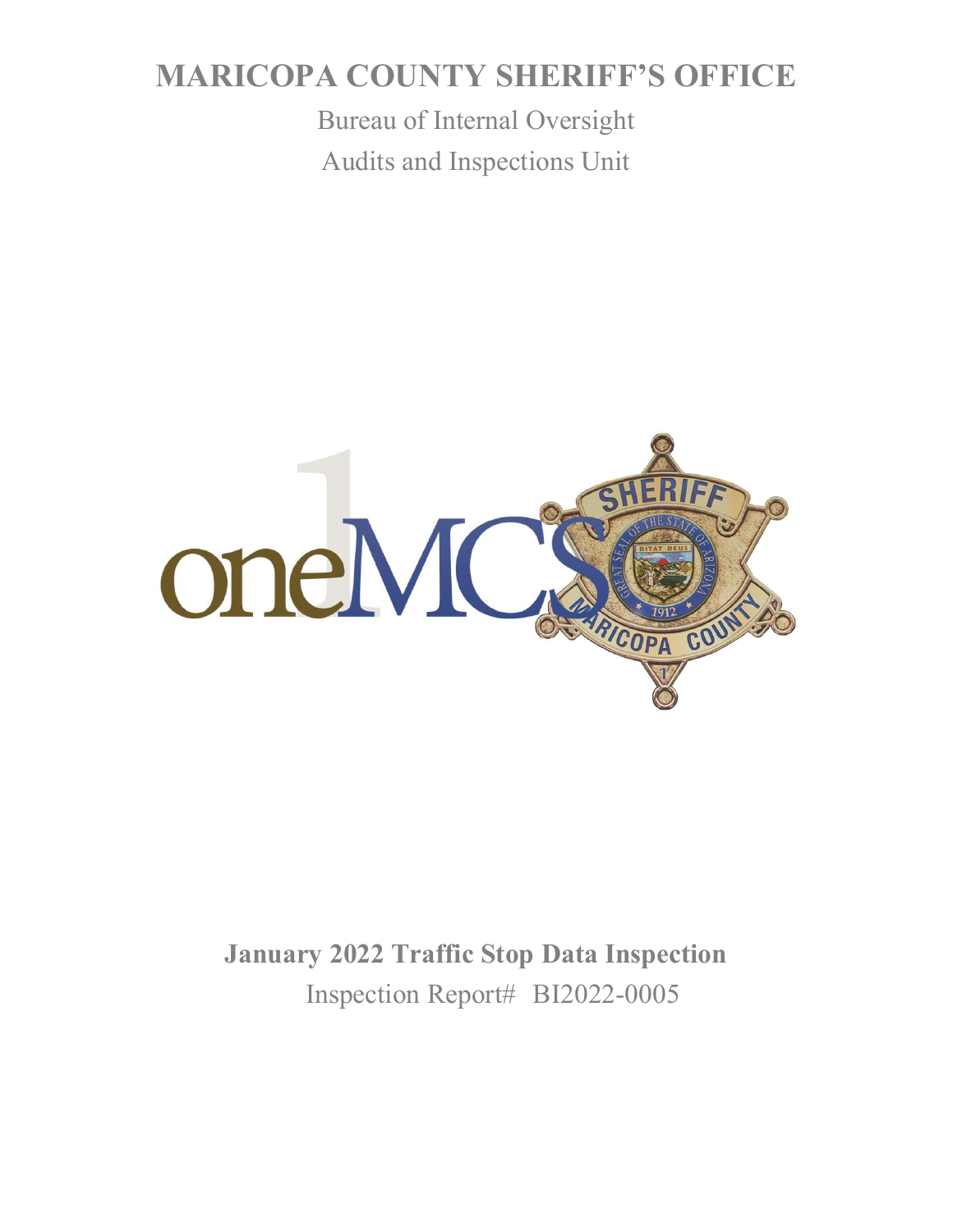# **MARICOPA COUNTY SHERIFF'S OFFICE**

Bureau of Internal Oversight Audits and Inspections Unit



**January 2022 Traffic Stop Data Inspection** Inspection Report# BI2022-0005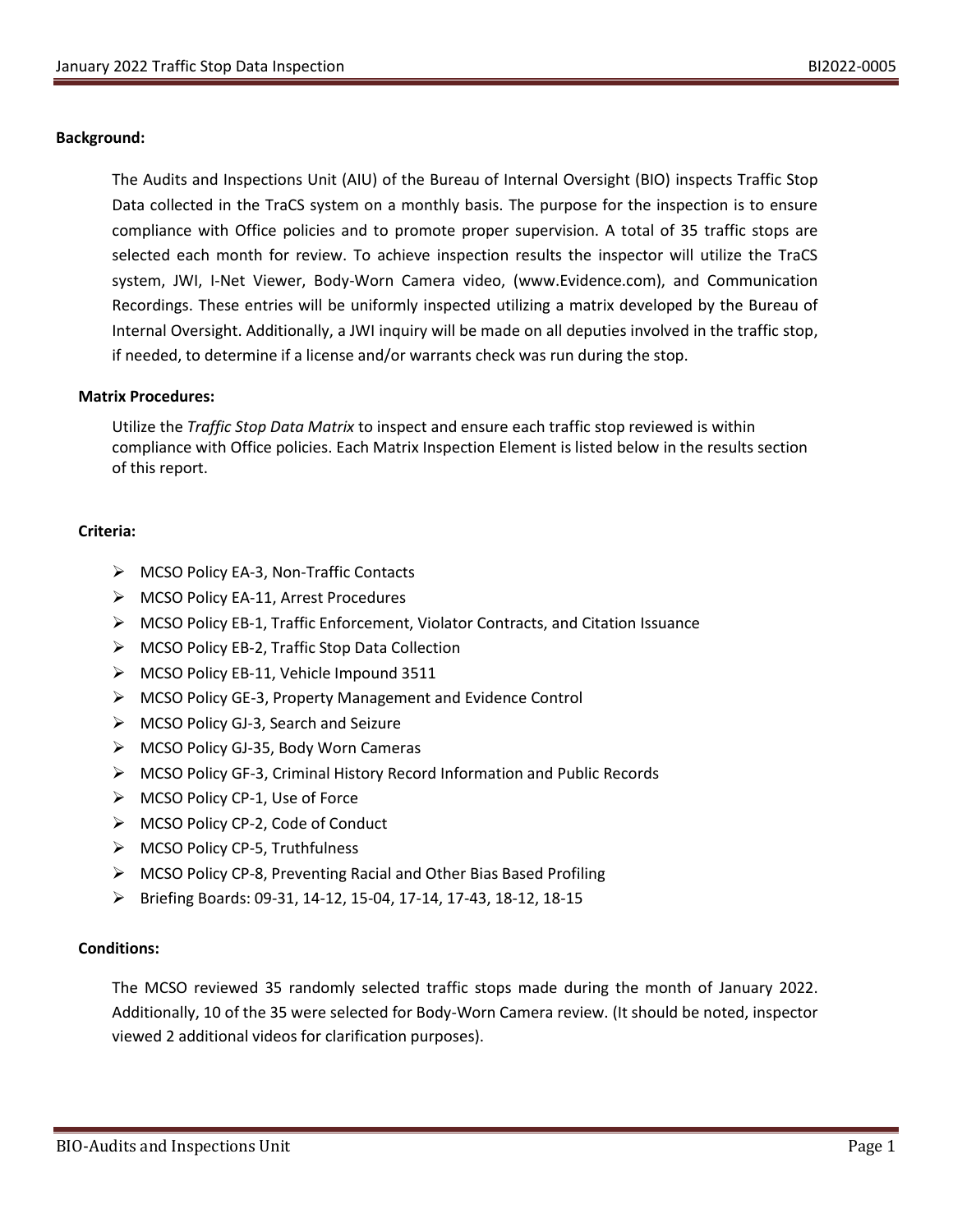### **Background:**

The Audits and Inspections Unit (AIU) of the Bureau of Internal Oversight (BIO) inspects Traffic Stop Data collected in the TraCS system on a monthly basis. The purpose for the inspection is to ensure compliance with Office policies and to promote proper supervision. A total of 35 traffic stops are selected each month for review. To achieve inspection results the inspector will utilize the TraCS system, JWI, I-Net Viewer, Body-Worn Camera video, (www.Evidence.com), and Communication Recordings. These entries will be uniformly inspected utilizing a matrix developed by the Bureau of Internal Oversight. Additionally, a JWI inquiry will be made on all deputies involved in the traffic stop, if needed, to determine if a license and/or warrants check was run during the stop.

#### **Matrix Procedures:**

Utilize the *Traffic Stop Data Matrix* to inspect and ensure each traffic stop reviewed is within compliance with Office policies. Each Matrix Inspection Element is listed below in the results section of this report.

### **Criteria:**

- ➢ MCSO Policy EA-3, Non-Traffic Contacts
- ➢ MCSO Policy EA-11, Arrest Procedures
- ➢ MCSO Policy EB-1, Traffic Enforcement, Violator Contracts, and Citation Issuance
- ➢ MCSO Policy EB-2, Traffic Stop Data Collection
- ➢ MCSO Policy EB-11, Vehicle Impound 3511
- ➢ MCSO Policy GE-3, Property Management and Evidence Control
- ➢ MCSO Policy GJ-3, Search and Seizure
- ➢ MCSO Policy GJ-35, Body Worn Cameras
- ➢ MCSO Policy GF-3, Criminal History Record Information and Public Records
- ➢ MCSO Policy CP-1, Use of Force
- ➢ MCSO Policy CP-2, Code of Conduct
- ➢ MCSO Policy CP-5, Truthfulness
- ➢ MCSO Policy CP-8, Preventing Racial and Other Bias Based Profiling
- ➢ Briefing Boards: 09-31, 14-12, 15-04, 17-14, 17-43, 18-12, 18-15

### **Conditions:**

The MCSO reviewed 35 randomly selected traffic stops made during the month of January 2022. Additionally, 10 of the 35 were selected for Body-Worn Camera review. (It should be noted, inspector viewed 2 additional videos for clarification purposes).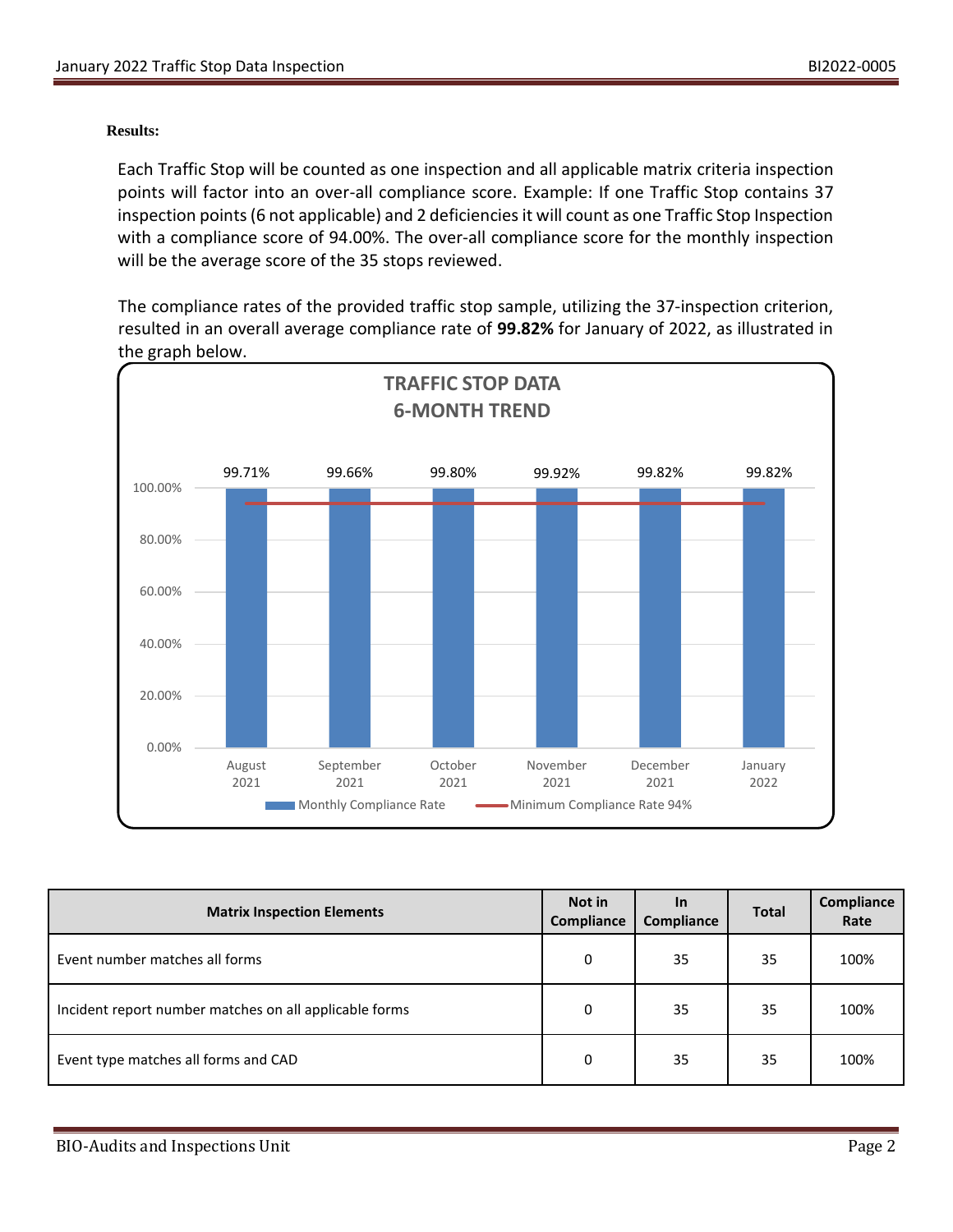### **Results:**

Each Traffic Stop will be counted as one inspection and all applicable matrix criteria inspection points will factor into an over-all compliance score. Example: If one Traffic Stop contains 37 inspection points (6 not applicable) and 2 deficiencies it will count as one Traffic Stop Inspection with a compliance score of 94.00%. The over-all compliance score for the monthly inspection will be the average score of the 35 stops reviewed.

The compliance rates of the provided traffic stop sample, utilizing the 37-inspection criterion, resulted in an overall average compliance rate of **99.82%** for January of 2022, as illustrated in the graph below.



| <b>Matrix Inspection Elements</b>                      | Not in<br><b>Compliance</b> | <b>In</b><br><b>Compliance</b> | <b>Total</b> | Compliance<br>Rate |
|--------------------------------------------------------|-----------------------------|--------------------------------|--------------|--------------------|
| Event number matches all forms                         | 0                           | 35                             | 35           | 100%               |
| Incident report number matches on all applicable forms | 0                           | 35                             | 35           | 100%               |
| Event type matches all forms and CAD                   | 0                           | 35                             | 35           | 100%               |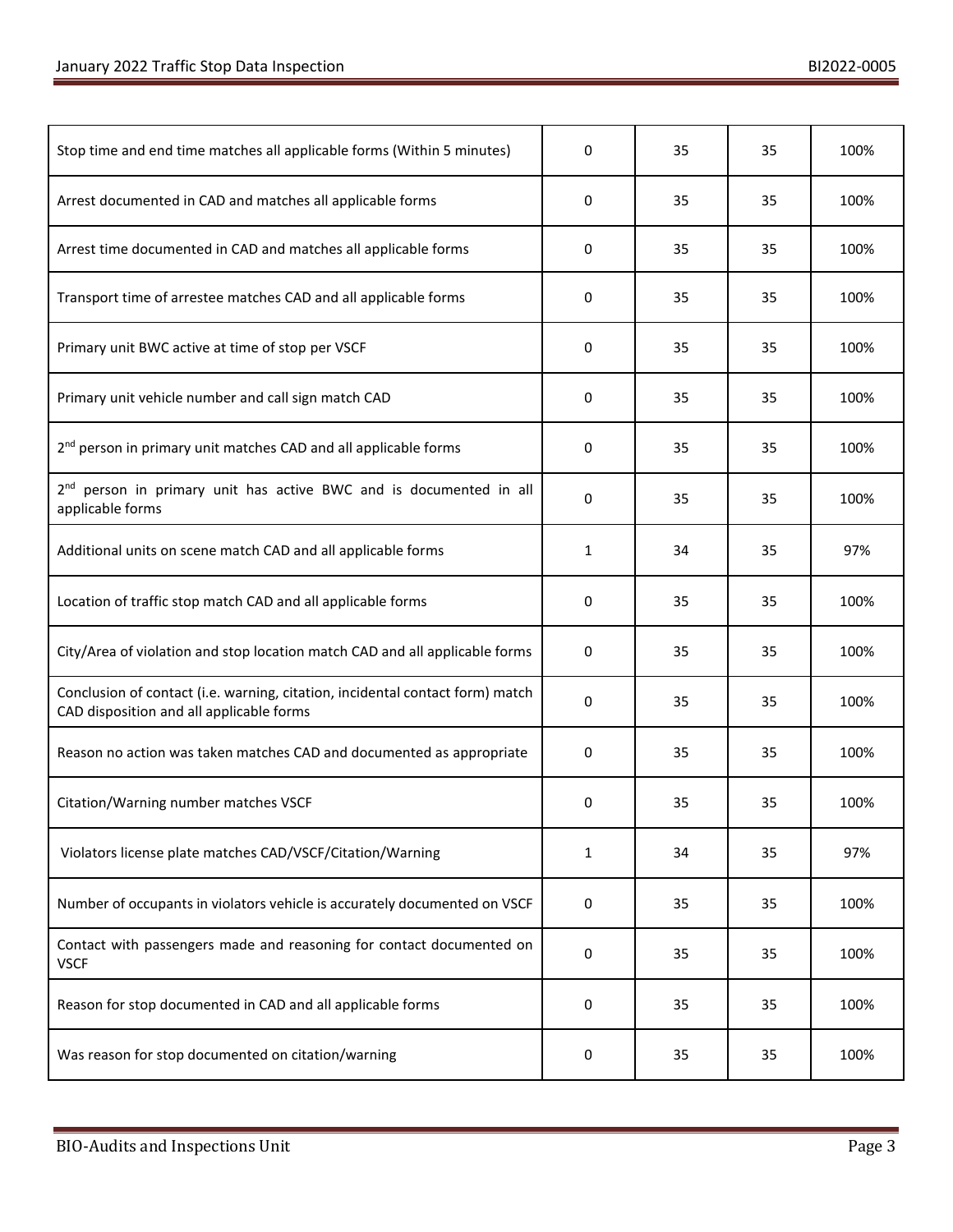| Stop time and end time matches all applicable forms (Within 5 minutes)                                                    | 0         | 35 | 35 | 100% |
|---------------------------------------------------------------------------------------------------------------------------|-----------|----|----|------|
| Arrest documented in CAD and matches all applicable forms                                                                 | 0         | 35 | 35 | 100% |
| Arrest time documented in CAD and matches all applicable forms                                                            | 0         | 35 | 35 | 100% |
| Transport time of arrestee matches CAD and all applicable forms                                                           | 0         | 35 | 35 | 100% |
| Primary unit BWC active at time of stop per VSCF                                                                          | 0         | 35 | 35 | 100% |
| Primary unit vehicle number and call sign match CAD                                                                       | 0         | 35 | 35 | 100% |
| 2 <sup>nd</sup> person in primary unit matches CAD and all applicable forms                                               | 0         | 35 | 35 | 100% |
| 2 <sup>nd</sup> person in primary unit has active BWC and is documented in all<br>applicable forms                        | 0         | 35 | 35 | 100% |
| Additional units on scene match CAD and all applicable forms                                                              | 1         | 34 | 35 | 97%  |
| Location of traffic stop match CAD and all applicable forms                                                               | 0         | 35 | 35 | 100% |
| City/Area of violation and stop location match CAD and all applicable forms                                               | 0         | 35 | 35 | 100% |
| Conclusion of contact (i.e. warning, citation, incidental contact form) match<br>CAD disposition and all applicable forms | 0         | 35 | 35 | 100% |
| Reason no action was taken matches CAD and documented as appropriate                                                      | 0         | 35 | 35 | 100% |
| Citation/Warning number matches VSCF                                                                                      | 0         | 35 | 35 | 100% |
| Violators license plate matches CAD/VSCF/Citation/Warning                                                                 | 1         | 34 | 35 | 97%  |
| Number of occupants in violators vehicle is accurately documented on VSCF                                                 | 0         | 35 | 35 | 100% |
| Contact with passengers made and reasoning for contact documented on<br><b>VSCF</b>                                       | $\pmb{0}$ | 35 | 35 | 100% |
| Reason for stop documented in CAD and all applicable forms                                                                | 0         | 35 | 35 | 100% |
| Was reason for stop documented on citation/warning                                                                        | 0         | 35 | 35 | 100% |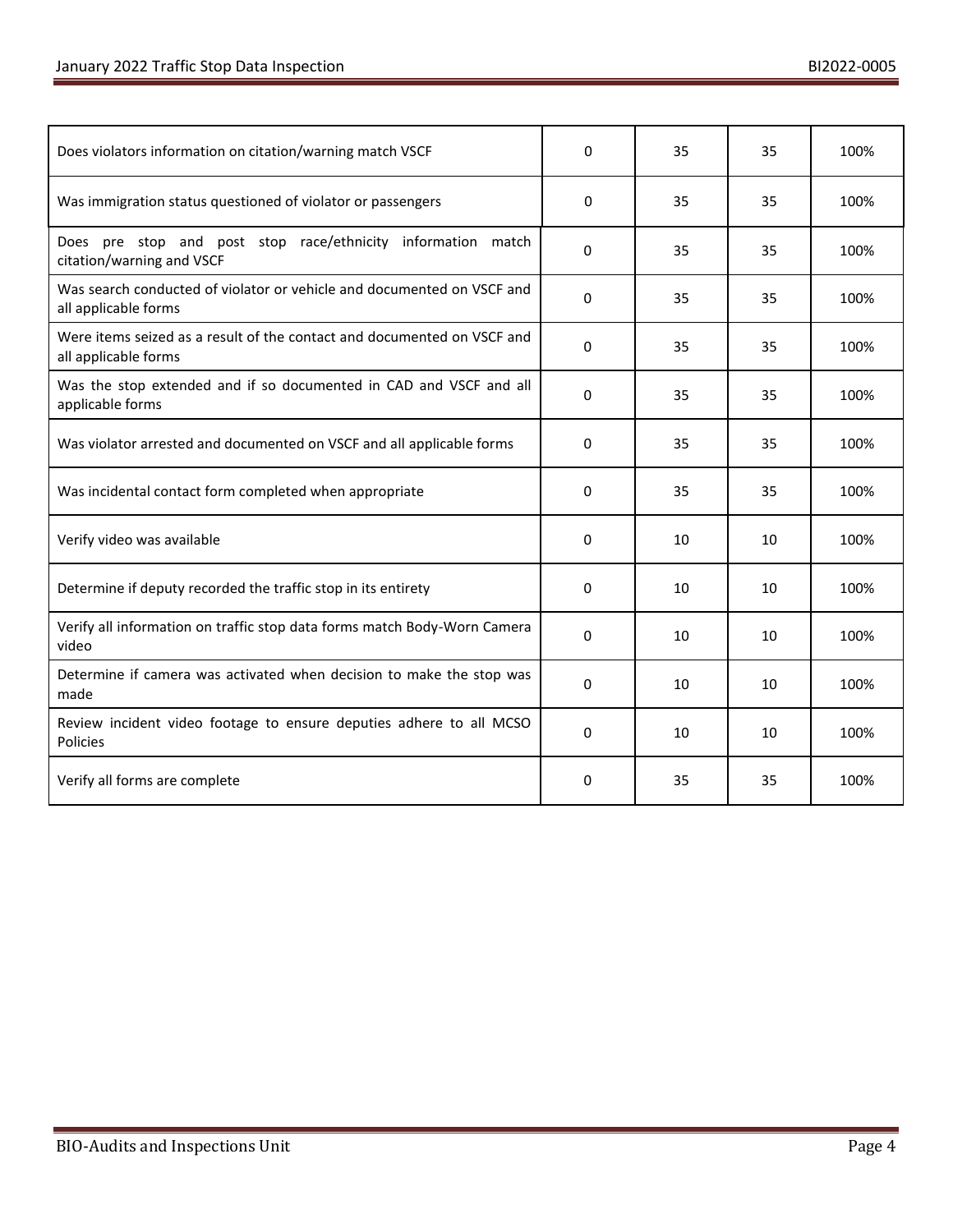| Does violators information on citation/warning match VSCF                                       |              | 35 | 35 | 100% |
|-------------------------------------------------------------------------------------------------|--------------|----|----|------|
| Was immigration status questioned of violator or passengers                                     | 0            | 35 | 35 | 100% |
| Does pre stop and post stop race/ethnicity information match<br>citation/warning and VSCF       | 0            | 35 | 35 | 100% |
| Was search conducted of violator or vehicle and documented on VSCF and<br>all applicable forms  | 0            | 35 | 35 | 100% |
| Were items seized as a result of the contact and documented on VSCF and<br>all applicable forms | 0            | 35 | 35 | 100% |
| Was the stop extended and if so documented in CAD and VSCF and all<br>applicable forms          | 0            | 35 | 35 | 100% |
| Was violator arrested and documented on VSCF and all applicable forms                           | 0            | 35 | 35 | 100% |
| Was incidental contact form completed when appropriate                                          |              | 35 | 35 | 100% |
| Verify video was available                                                                      | 0            | 10 | 10 | 100% |
| Determine if deputy recorded the traffic stop in its entirety                                   | 0            | 10 | 10 | 100% |
| Verify all information on traffic stop data forms match Body-Worn Camera<br>video               | 0            | 10 | 10 | 100% |
| Determine if camera was activated when decision to make the stop was<br>made                    | 0            | 10 | 10 | 100% |
| Review incident video footage to ensure deputies adhere to all MCSO<br>Policies                 | $\mathbf{0}$ | 10 | 10 | 100% |
| Verify all forms are complete                                                                   | 0            | 35 | 35 | 100% |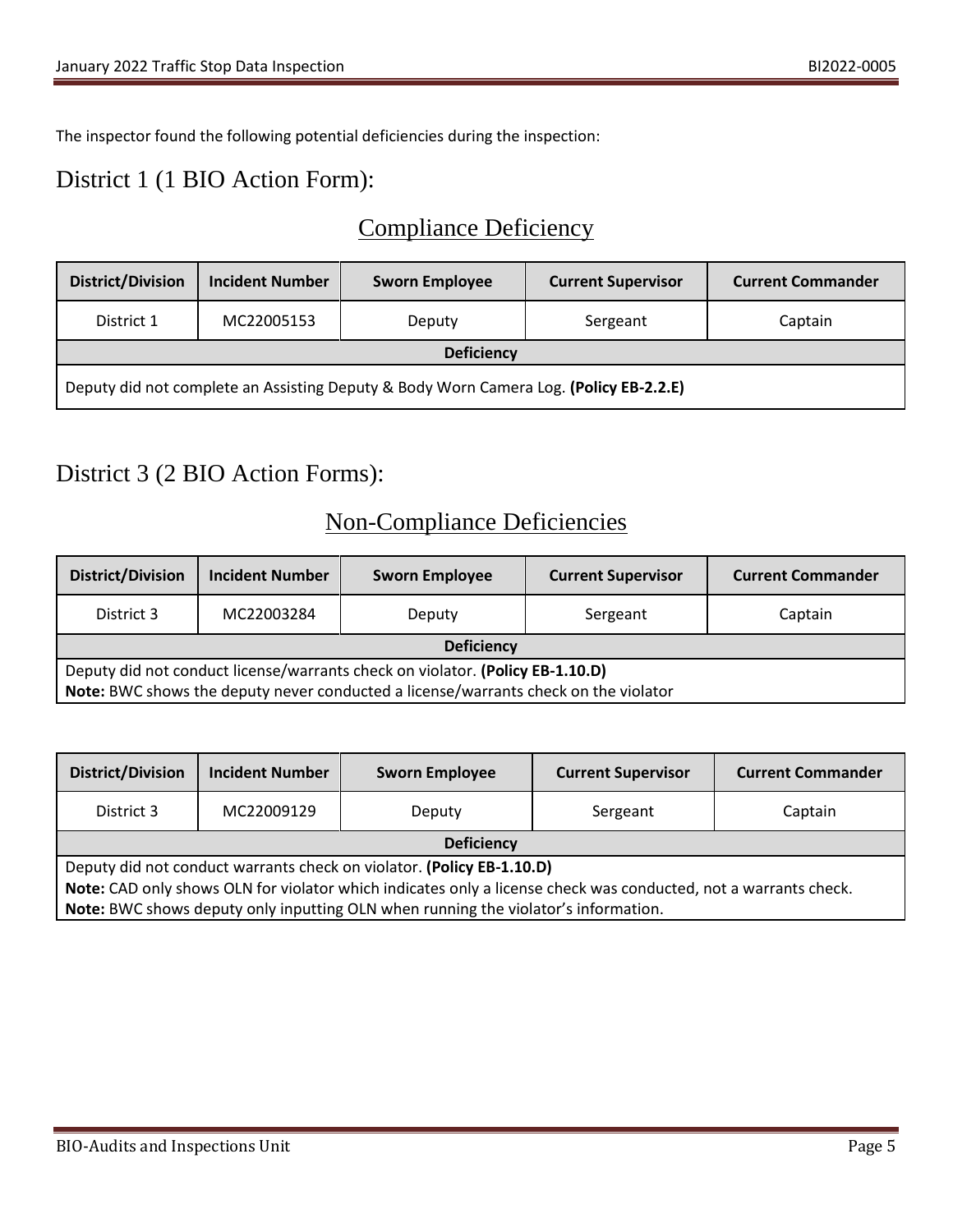The inspector found the following potential deficiencies during the inspection:

### District 1 (1 BIO Action Form):

# Compliance Deficiency

| <b>District/Division</b>                                                              | <b>Incident Number</b> | <b>Sworn Employee</b> | <b>Current Supervisor</b> | <b>Current Commander</b> |
|---------------------------------------------------------------------------------------|------------------------|-----------------------|---------------------------|--------------------------|
| District 1                                                                            | MC22005153             | Deputy                | Sergeant                  | Captain                  |
| <b>Deficiency</b>                                                                     |                        |                       |                           |                          |
| Deputy did not complete an Assisting Deputy & Body Worn Camera Log. (Policy EB-2.2.E) |                        |                       |                           |                          |

# District 3 (2 BIO Action Forms):

# Non-Compliance Deficiencies

| <b>District/Division</b>                                                                                                                                             | <b>Incident Number</b> | <b>Sworn Employee</b> | <b>Current Supervisor</b> | <b>Current Commander</b> |
|----------------------------------------------------------------------------------------------------------------------------------------------------------------------|------------------------|-----------------------|---------------------------|--------------------------|
| District 3                                                                                                                                                           | MC22003284             | Deputy                | Sergeant                  | Captain                  |
| <b>Deficiency</b>                                                                                                                                                    |                        |                       |                           |                          |
| Deputy did not conduct license/warrants check on violator. (Policy EB-1.10.D)<br>Note: BWC shows the deputy never conducted a license/warrants check on the violator |                        |                       |                           |                          |

| <b>District/Division</b>                                                                                        | <b>Incident Number</b> | <b>Sworn Employee</b> | <b>Current Supervisor</b> | <b>Current Commander</b> |
|-----------------------------------------------------------------------------------------------------------------|------------------------|-----------------------|---------------------------|--------------------------|
| District 3                                                                                                      | MC22009129             | Deputy                | Sergeant                  | Captain                  |
| <b>Deficiency</b>                                                                                               |                        |                       |                           |                          |
| Deputy did not conduct warrants check on violator. (Policy EB-1.10.D)                                           |                        |                       |                           |                          |
| Note: CAD only shows OLN for violator which indicates only a license check was conducted, not a warrants check. |                        |                       |                           |                          |
| Note: BWC shows deputy only inputting OLN when running the violator's information.                              |                        |                       |                           |                          |